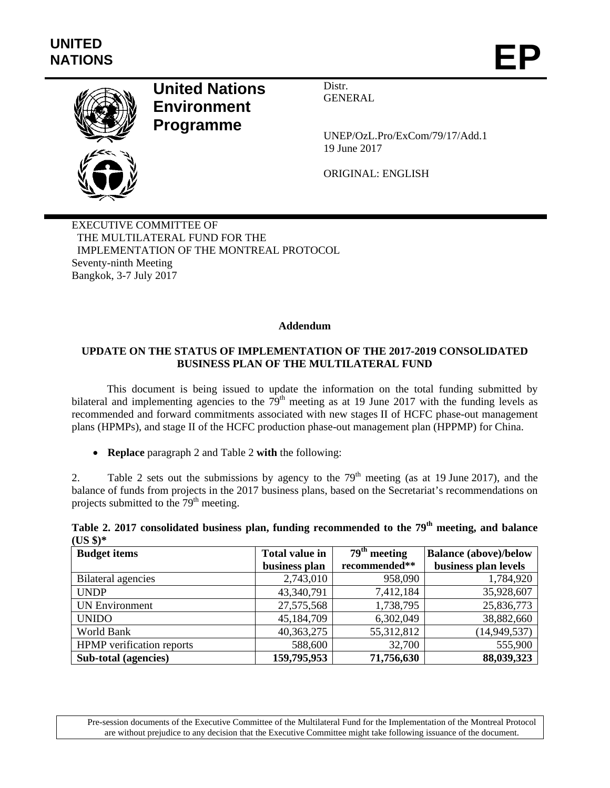

## **United Nations Environment Programme**

Distr. GENERAL

UNEP/OzL.Pro/ExCom/79/17/Add.1 19 June 2017

ORIGINAL: ENGLISH

EXECUTIVE COMMITTEE OF THE MULTILATERAL FUND FOR THE IMPLEMENTATION OF THE MONTREAL PROTOCOL Seventy-ninth Meeting Bangkok, 3-7 July 2017

## **Addendum**

## **UPDATE ON THE STATUS OF IMPLEMENTATION OF THE 2017-2019 CONSOLIDATED BUSINESS PLAN OF THE MULTILATERAL FUND**

This document is being issued to update the information on the total funding submitted by bilateral and implementing agencies to the  $79<sup>th</sup>$  meeting as at 19 June 2017 with the funding levels as recommended and forward commitments associated with new stages II of HCFC phase-out management plans (HPMPs), and stage II of the HCFC production phase-out management plan (HPPMP) for China.

**Replace** paragraph 2 and Table 2 **with** the following:

2. Table 2 sets out the submissions by agency to the  $79<sup>th</sup>$  meeting (as at 19 June 2017), and the balance of funds from projects in the 2017 business plans, based on the Secretariat's recommendations on projects submitted to the 79<sup>th</sup> meeting.

|           |  | Table 2. 2017 consolidated business plan, funding recommended to the 79 <sup>th</sup> meeting, and balance |  |  |
|-----------|--|------------------------------------------------------------------------------------------------------------|--|--|
| $(US $)*$ |  |                                                                                                            |  |  |

| <b>Budget items</b>              | <b>Total value in</b> | $\overline{79}^{\text{th}}$ meeting | <b>Balance (above)/below</b> |  |  |
|----------------------------------|-----------------------|-------------------------------------|------------------------------|--|--|
|                                  | business plan         | recommended**                       | business plan levels         |  |  |
| Bilateral agencies               | 2,743,010             | 958,090                             | 1,784,920                    |  |  |
| <b>UNDP</b>                      | 43,340,791            | 7,412,184                           | 35,928,607                   |  |  |
| <b>UN Environment</b>            | 27,575,568            | 1,738,795                           | 25,836,773                   |  |  |
| <b>UNIDO</b>                     | 45,184,709            | 6,302,049                           | 38,882,660                   |  |  |
| World Bank                       | 40, 363, 275          | 55,312,812                          | (14, 949, 537)               |  |  |
| <b>HPMP</b> verification reports | 588,600               | 32,700                              | 555,900                      |  |  |
| Sub-total (agencies)             | 159,795,953           | 71,756,630                          | 88,039,323                   |  |  |